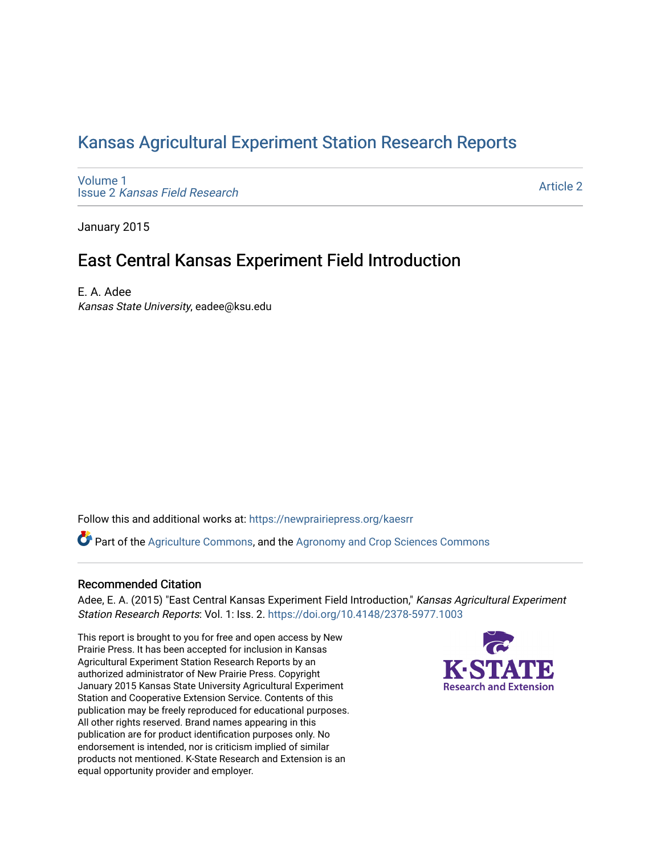## [Kansas Agricultural Experiment Station Research Reports](https://newprairiepress.org/kaesrr)

[Volume 1](https://newprairiepress.org/kaesrr/vol1) Issue 2 [Kansas Field Research](https://newprairiepress.org/kaesrr/vol1/iss2) 

[Article 2](https://newprairiepress.org/kaesrr/vol1/iss2/2) 

January 2015

## East Central Kansas Experiment Field Introduction

E. A. Adee

Kansas State University, eadee@ksu.edu

Follow this and additional works at: [https://newprairiepress.org/kaesrr](https://newprairiepress.org/kaesrr?utm_source=newprairiepress.org%2Fkaesrr%2Fvol1%2Fiss2%2F2&utm_medium=PDF&utm_campaign=PDFCoverPages) 

Part of the [Agriculture Commons](http://network.bepress.com/hgg/discipline/1076?utm_source=newprairiepress.org%2Fkaesrr%2Fvol1%2Fiss2%2F2&utm_medium=PDF&utm_campaign=PDFCoverPages), and the [Agronomy and Crop Sciences Commons](http://network.bepress.com/hgg/discipline/103?utm_source=newprairiepress.org%2Fkaesrr%2Fvol1%2Fiss2%2F2&utm_medium=PDF&utm_campaign=PDFCoverPages) 

### Recommended Citation

Adee, E. A. (2015) "East Central Kansas Experiment Field Introduction," Kansas Agricultural Experiment Station Research Reports: Vol. 1: Iss. 2.<https://doi.org/10.4148/2378-5977.1003>

This report is brought to you for free and open access by New Prairie Press. It has been accepted for inclusion in Kansas Agricultural Experiment Station Research Reports by an authorized administrator of New Prairie Press. Copyright January 2015 Kansas State University Agricultural Experiment Station and Cooperative Extension Service. Contents of this publication may be freely reproduced for educational purposes. All other rights reserved. Brand names appearing in this publication are for product identification purposes only. No endorsement is intended, nor is criticism implied of similar products not mentioned. K-State Research and Extension is an equal opportunity provider and employer.

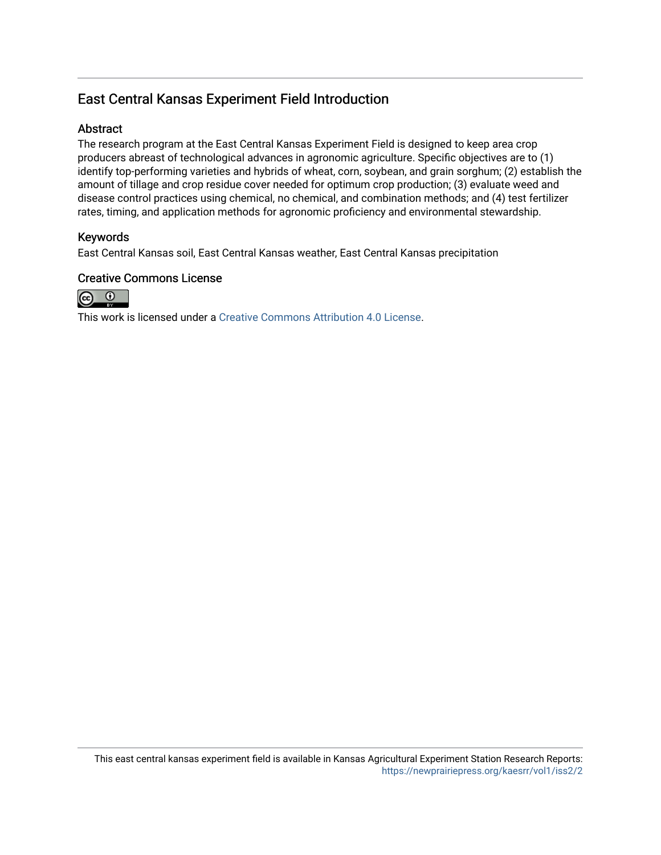## East Central Kansas Experiment Field Introduction

### **Abstract**

The research program at the East Central Kansas Experiment Field is designed to keep area crop producers abreast of technological advances in agronomic agriculture. Specific objectives are to (1) identify top-performing varieties and hybrids of wheat, corn, soybean, and grain sorghum; (2) establish the amount of tillage and crop residue cover needed for optimum crop production; (3) evaluate weed and disease control practices using chemical, no chemical, and combination methods; and (4) test fertilizer rates, timing, and application methods for agronomic proficiency and environmental stewardship.

### Keywords

East Central Kansas soil, East Central Kansas weather, East Central Kansas precipitation

### Creative Commons License



This work is licensed under a [Creative Commons Attribution 4.0 License](https://creativecommons.org/licenses/by/4.0/).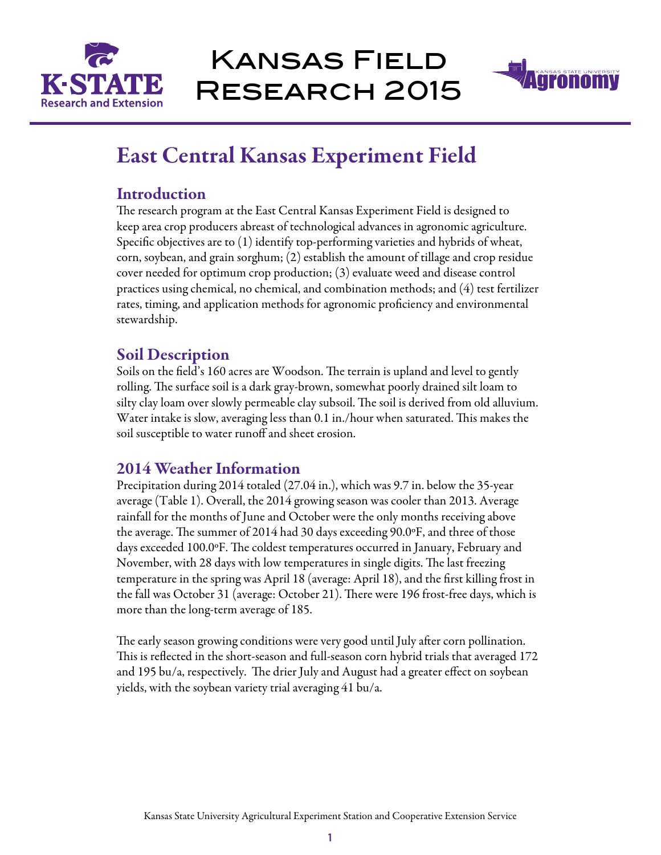

# Kansas Field Research 2015



## East Central Kansas Experiment Field

### **Introduction**

The research program at the East Central Kansas Experiment Field is designed to keep area crop producers abreast of technological advances in agronomic agriculture. Specific objectives are to (1) identify top-performing varieties and hybrids of wheat, corn, soybean, and grain sorghum; (2) establish the amount of tillage and crop residue cover needed for optimum crop production; (3) evaluate weed and disease control practices using chemical, no chemical, and combination methods; and (4) test fertilizer rates, timing, and application methods for agronomic proficiency and environmental stewardship.

## Soil Description

Soils on the field's 160 acres are Woodson. The terrain is upland and level to gently rolling. The surface soil is a dark gray-brown, somewhat poorly drained silt loam to silty clay loam over slowly permeable clay subsoil. The soil is derived from old alluvium. Water intake is slow, averaging less than 0.1 in./hour when saturated. This makes the soil susceptible to water runoff and sheet erosion.

## 2014 Weather Information

Precipitation during 2014 totaled (27.04 in.), which was 9.7 in. below the 35-year average (Table 1). Overall, the 2014 growing season was cooler than 2013. Average rainfall for the months of June and October were the only months receiving above the average. The summer of 2014 had 30 days exceeding 90.0ºF, and three of those days exceeded 100.0ºF. The coldest temperatures occurred in January, February and November, with 28 days with low temperatures in single digits. The last freezing temperature in the spring was April 18 (average: April 18), and the first killing frost in the fall was October 31 (average: October 21). There were 196 frost-free days, which is more than the long-term average of 185.

The early season growing conditions were very good until July after corn pollination. This is reflected in the short-season and full-season corn hybrid trials that averaged 172 and 195 bu/a, respectively. The drier July and August had a greater effect on soybean yields, with the soybean variety trial averaging 41 bu/a.